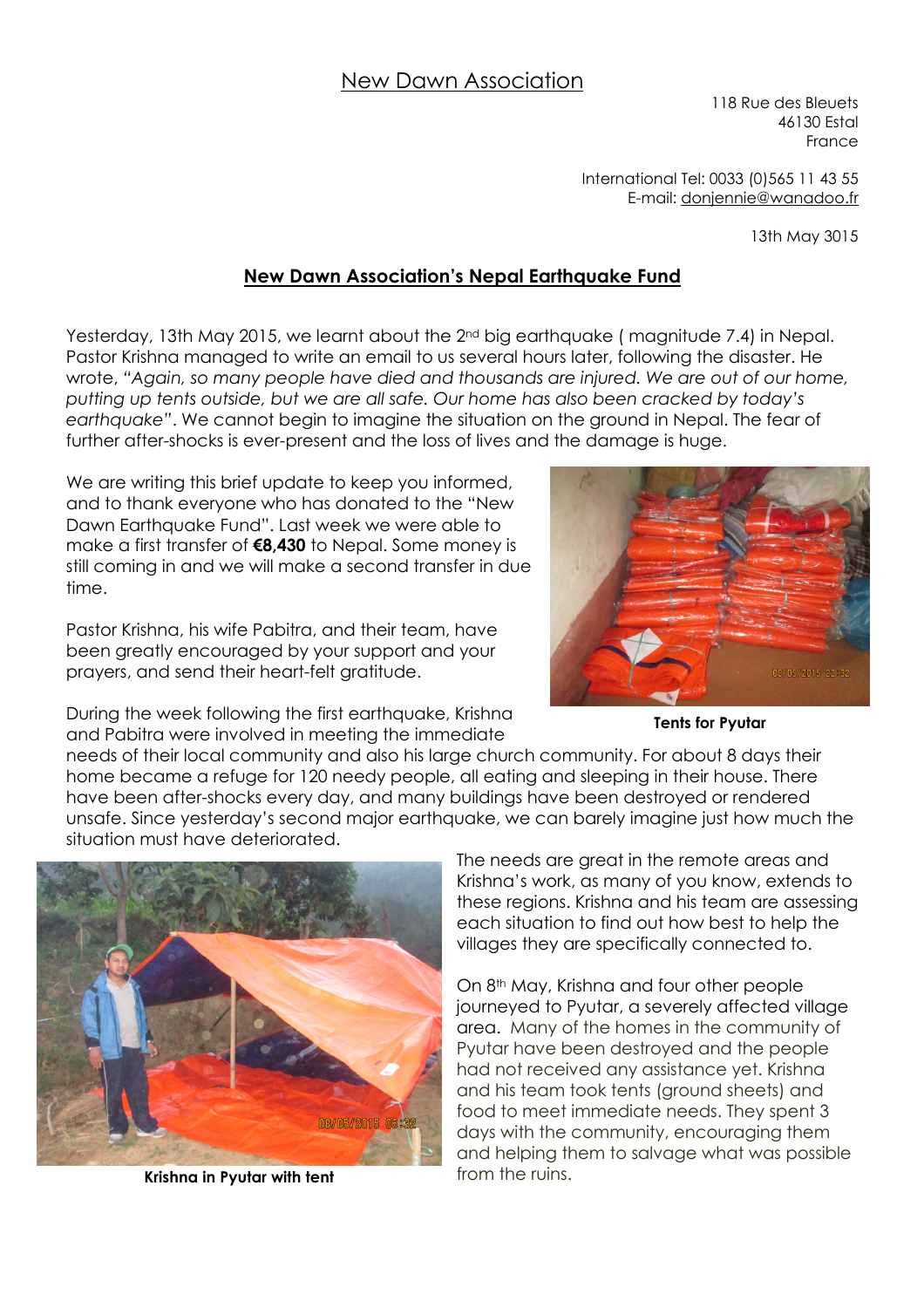## New Dawn Association

118 Rue des Bleuets 46130 Estal France

International Tel: 0033 (0)565 11 43 55 E-mail: donjennie@wanadoo.fr

13th May 3015

## **New Dawn Association's Nepal Earthquake Fund**

Yesterday, 13th May 2015, we learnt about the 2<sup>nd</sup> big earthquake (magnitude 7.4) in Nepal. Pastor Krishna managed to write an email to us several hours later, following the disaster. He wrote, *"Again, so many people have died and thousands are injured. We are out of our home, putting up tents outside, but we are all safe. Our home has also been cracked by today's earthquake"*. We cannot begin to imagine the situation on the ground in Nepal. The fear of further after-shocks is ever-present and the loss of lives and the damage is huge.

We are writing this brief update to keep you informed, and to thank everyone who has donated to the "New Dawn Earthquake Fund". Last week we were able to make a first transfer of **€8,430** to Nepal. Some money is still coming in and we will make a second transfer in due time.

Pastor Krishna, his wife Pabitra, and their team, have been greatly encouraged by your support and your prayers, and send their heart-felt gratitude.



During the week following the first earthquake, Krishna and Pabitra were involved in meeting the immediate

**Tents for Pyutar** 

needs of their local community and also his large church community. For about 8 days their home became a refuge for 120 needy people, all eating and sleeping in their house. There have been after-shocks every day, and many buildings have been destroyed or rendered unsafe. Since yesterday's second major earthquake, we can barely imagine just how much the situation must have deteriorated.



**Krishna in Pyutar with tent from the ruins.** 

The needs are great in the remote areas and Krishna's work, as many of you know, extends to these regions. Krishna and his team are assessing each situation to find out how best to help the villages they are specifically connected to.

On 8<sup>th</sup> May, Krishna and four other people journeyed to Pyutar, a severely affected village area. Many of the homes in the community of Pyutar have been destroyed and the people had not received any assistance yet. Krishna and his team took tents (ground sheets) and food to meet immediate needs. They spent 3 days with the community, encouraging them and helping them to salvage what was possible